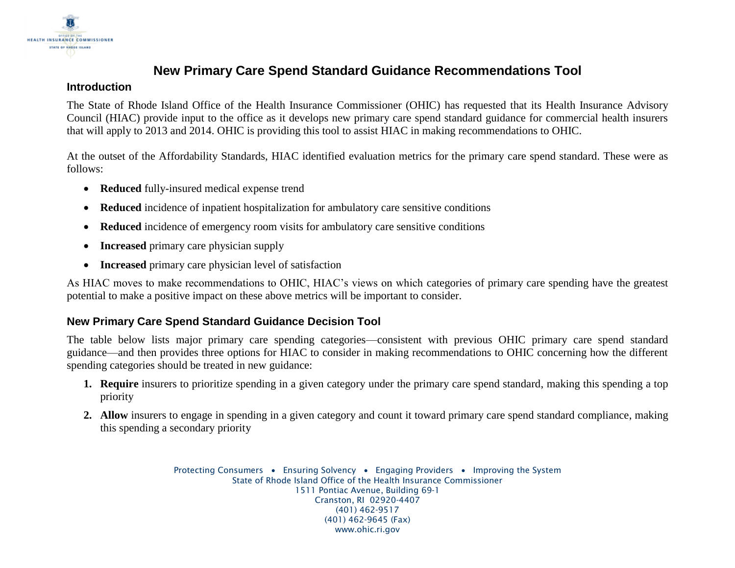

## **New Primary Care Spend Standard Guidance Recommendations Tool**

## **Introduction**

The State of Rhode Island Office of the Health Insurance Commissioner (OHIC) has requested that its Health Insurance Advisory Council (HIAC) provide input to the office as it develops new primary care spend standard guidance for commercial health insurers that will apply to 2013 and 2014. OHIC is providing this tool to assist HIAC in making recommendations to OHIC.

At the outset of the Affordability Standards, HIAC identified evaluation metrics for the primary care spend standard. These were as follows:

- **Reduced** fully-insured medical expense trend
- **Reduced** incidence of inpatient hospitalization for ambulatory care sensitive conditions
- **Reduced** incidence of emergency room visits for ambulatory care sensitive conditions
- **Increased** primary care physician supply
- **Increased** primary care physician level of satisfaction

As HIAC moves to make recommendations to OHIC, HIAC's views on which categories of primary care spending have the greatest potential to make a positive impact on these above metrics will be important to consider.

## **New Primary Care Spend Standard Guidance Decision Tool**

The table below lists major primary care spending categories—consistent with previous OHIC primary care spend standard guidance—and then provides three options for HIAC to consider in making recommendations to OHIC concerning how the different spending categories should be treated in new guidance:

- **1. Require** insurers to prioritize spending in a given category under the primary care spend standard, making this spending a top priority
- **2. Allow** insurers to engage in spending in a given category and count it toward primary care spend standard compliance, making this spending a secondary priority

Protecting Consumers • Ensuring Solvency • Engaging Providers • Improving the System State of Rhode Island Office of the Health Insurance Commissioner 1511 Pontiac Avenue, Building 69-1 Cranston, RI 02920-4407 (401) 462-9517 (401) 462-9645 (Fax) www.ohic.ri.gov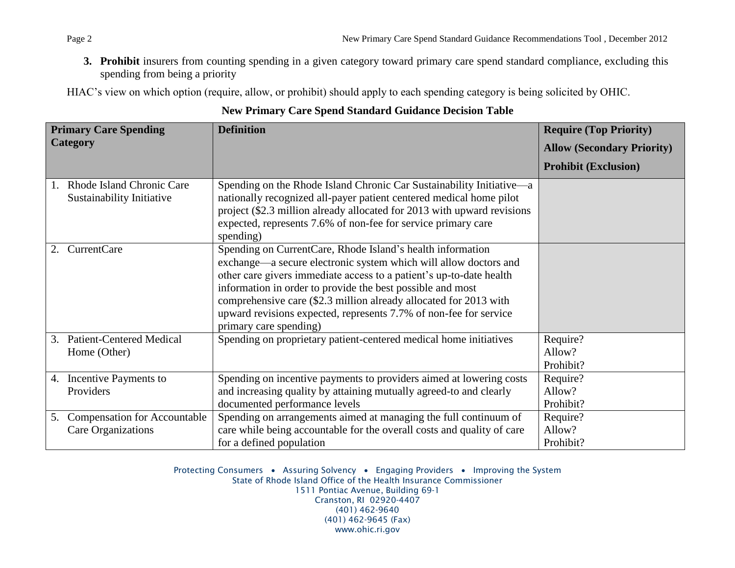**3. Prohibit** insurers from counting spending in a given category toward primary care spend standard compliance, excluding this spending from being a priority

HIAC's view on which option (require, allow, or prohibit) should apply to each spending category is being solicited by OHIC.

| <b>Primary Care Spending</b>                                        | <b>Definition</b>                                                                                                                                                                                                                                                                                                                                                                                                                       | <b>Require (Top Priority)</b>     |
|---------------------------------------------------------------------|-----------------------------------------------------------------------------------------------------------------------------------------------------------------------------------------------------------------------------------------------------------------------------------------------------------------------------------------------------------------------------------------------------------------------------------------|-----------------------------------|
| Category                                                            |                                                                                                                                                                                                                                                                                                                                                                                                                                         | <b>Allow (Secondary Priority)</b> |
|                                                                     |                                                                                                                                                                                                                                                                                                                                                                                                                                         | <b>Prohibit (Exclusion)</b>       |
| Rhode Island Chronic Care<br>Sustainability Initiative              | Spending on the Rhode Island Chronic Car Sustainability Initiative—a<br>nationally recognized all-payer patient centered medical home pilot<br>project (\$2.3 million already allocated for 2013 with upward revisions<br>expected, represents 7.6% of non-fee for service primary care<br>spending)                                                                                                                                    |                                   |
| <b>CurrentCare</b><br>2.                                            | Spending on CurrentCare, Rhode Island's health information<br>exchange—a secure electronic system which will allow doctors and<br>other care givers immediate access to a patient's up-to-date health<br>information in order to provide the best possible and most<br>comprehensive care (\$2.3 million already allocated for 2013 with<br>upward revisions expected, represents 7.7% of non-fee for service<br>primary care spending) |                                   |
| <b>Patient-Centered Medical</b><br>$\mathfrak{Z}$ .<br>Home (Other) | Spending on proprietary patient-centered medical home initiatives                                                                                                                                                                                                                                                                                                                                                                       | Require?<br>Allow?<br>Prohibit?   |
| Incentive Payments to<br>4.<br>Providers                            | Spending on incentive payments to providers aimed at lowering costs<br>and increasing quality by attaining mutually agreed-to and clearly<br>documented performance levels                                                                                                                                                                                                                                                              | Require?<br>Allow?<br>Prohibit?   |
| <b>Compensation for Accountable</b><br>5.<br>Care Organizations     | Spending on arrangements aimed at managing the full continuum of<br>care while being accountable for the overall costs and quality of care<br>for a defined population                                                                                                                                                                                                                                                                  | Require?<br>Allow?<br>Prohibit?   |

**New Primary Care Spend Standard Guidance Decision Table**

Protecting Consumers • Assuring Solvency • Engaging Providers • Improving the System State of Rhode Island Office of the Health Insurance Commissioner 1511 Pontiac Avenue, Building 69-1 Cranston, RI 02920-4407 (401) 462-9640 (401) 462-9645 (Fax) www.ohic.ri.gov